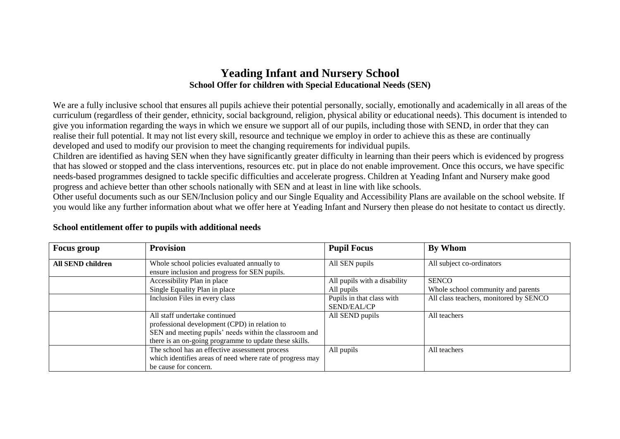## **Yeading Infant and Nursery School School Offer for children with Special Educational Needs (SEN)**

We are a fully inclusive school that ensures all pupils achieve their potential personally, socially, emotionally and academically in all areas of the curriculum (regardless of their gender, ethnicity, social background, religion, physical ability or educational needs). This document is intended to give you information regarding the ways in which we ensure we support all of our pupils, including those with SEND, in order that they can realise their full potential. It may not list every skill, resource and technique we employ in order to achieve this as these are continually developed and used to modify our provision to meet the changing requirements for individual pupils.

Children are identified as having SEN when they have significantly greater difficulty in learning than their peers which is evidenced by progress that has slowed or stopped and the class interventions, resources etc. put in place do not enable improvement. Once this occurs, we have specific needs-based programmes designed to tackle specific difficulties and accelerate progress. Children at Yeading Infant and Nursery make good progress and achieve better than other schools nationally with SEN and at least in line with like schools.

Other useful documents such as our SEN/Inclusion policy and our Single Equality and Accessibility Plans are available on the school website. If you would like any further information about what we offer here at Yeading Infant and Nursery then please do not hesitate to contact us directly.

| <b>Focus group</b> | <b>Provision</b>                                                                             | <b>Pupil Focus</b>           | By Whom                                |
|--------------------|----------------------------------------------------------------------------------------------|------------------------------|----------------------------------------|
| All SEND children  | Whole school policies evaluated annually to<br>ensure inclusion and progress for SEN pupils. | All SEN pupils               | All subject co-ordinators              |
|                    | Accessibility Plan in place                                                                  | All pupils with a disability | <b>SENCO</b>                           |
|                    | Single Equality Plan in place                                                                | All pupils                   | Whole school community and parents     |
|                    | Inclusion Files in every class                                                               | Pupils in that class with    | All class teachers, monitored by SENCO |
|                    |                                                                                              | <b>SEND/EAL/CP</b>           |                                        |
|                    | All staff undertake continued                                                                | All SEND pupils              | All teachers                           |
|                    | professional development (CPD) in relation to                                                |                              |                                        |
|                    | SEN and meeting pupils' needs within the classroom and                                       |                              |                                        |
|                    | there is an on-going programme to update these skills.                                       |                              |                                        |
|                    | The school has an effective assessment process                                               | All pupils                   | All teachers                           |
|                    | which identifies areas of need where rate of progress may                                    |                              |                                        |
|                    | be cause for concern.                                                                        |                              |                                        |

## **School entitlement offer to pupils with additional needs**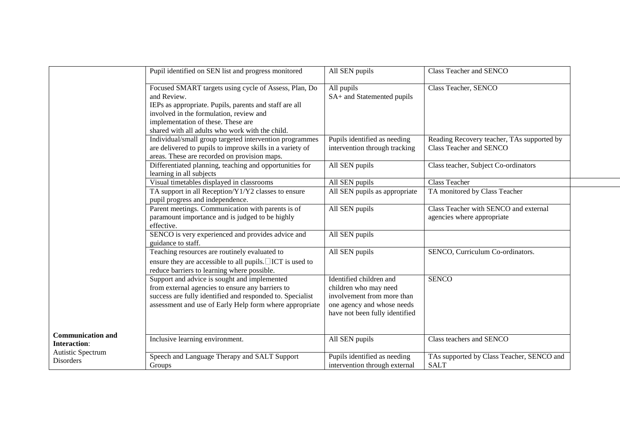|                                                 | Pupil identified on SEN list and progress monitored                                                                                                                                                                                                                | All SEN pupils                                                                                                                                 | Class Teacher and SENCO                                               |
|-------------------------------------------------|--------------------------------------------------------------------------------------------------------------------------------------------------------------------------------------------------------------------------------------------------------------------|------------------------------------------------------------------------------------------------------------------------------------------------|-----------------------------------------------------------------------|
|                                                 | Focused SMART targets using cycle of Assess, Plan, Do<br>and Review.<br>IEPs as appropriate. Pupils, parents and staff are all<br>involved in the formulation, review and<br>implementation of these. These are<br>shared with all adults who work with the child. | All pupils<br>SA+ and Statemented pupils                                                                                                       | Class Teacher, SENCO                                                  |
|                                                 | Individual/small group targeted intervention programmes<br>are delivered to pupils to improve skills in a variety of<br>areas. These are recorded on provision maps.                                                                                               | Pupils identified as needing<br>intervention through tracking                                                                                  | Reading Recovery teacher, TAs supported by<br>Class Teacher and SENCO |
|                                                 | Differentiated planning, teaching and opportunities for<br>learning in all subjects                                                                                                                                                                                | All SEN pupils                                                                                                                                 | Class teacher, Subject Co-ordinators                                  |
|                                                 | Visual timetables displayed in classrooms                                                                                                                                                                                                                          | All SEN pupils                                                                                                                                 | <b>Class Teacher</b>                                                  |
|                                                 | TA support in all Reception/Y1/Y2 classes to ensure<br>pupil progress and independence.                                                                                                                                                                            | All SEN pupils as appropriate                                                                                                                  | TA monitored by Class Teacher                                         |
|                                                 | Parent meetings. Communication with parents is of<br>paramount importance and is judged to be highly<br>effective.                                                                                                                                                 | All SEN pupils                                                                                                                                 | Class Teacher with SENCO and external<br>agencies where appropriate   |
|                                                 | SENCO is very experienced and provides advice and<br>guidance to staff.                                                                                                                                                                                            | All SEN pupils                                                                                                                                 |                                                                       |
|                                                 | Teaching resources are routinely evaluated to<br>ensure they are accessible to all pupils. $\Box$ ICT is used to<br>reduce barriers to learning where possible.                                                                                                    | All SEN pupils                                                                                                                                 | SENCO, Curriculum Co-ordinators.                                      |
|                                                 | Support and advice is sought and implemented<br>from external agencies to ensure any barriers to<br>success are fully identified and responded to. Specialist<br>assessment and use of Early Help form where appropriate                                           | Identified children and<br>children who may need<br>involvement from more than<br>one agency and whose needs<br>have not been fully identified | <b>SENCO</b>                                                          |
| <b>Communication and</b><br><b>Interaction:</b> | Inclusive learning environment.                                                                                                                                                                                                                                    | All SEN pupils                                                                                                                                 | Class teachers and SENCO                                              |
| Autistic Spectrum<br>Disorders                  | Speech and Language Therapy and SALT Support<br>Groups                                                                                                                                                                                                             | Pupils identified as needing<br>intervention through external                                                                                  | TAs supported by Class Teacher, SENCO and<br><b>SALT</b>              |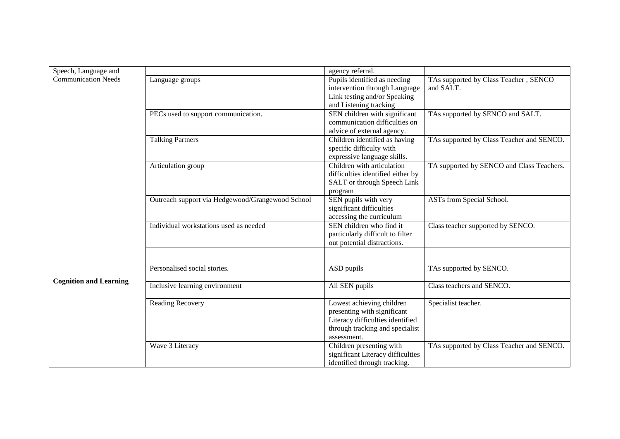| Speech, Language and          |                                                  | agency referral.                                     |                                           |
|-------------------------------|--------------------------------------------------|------------------------------------------------------|-------------------------------------------|
| <b>Communication Needs</b>    | Language groups                                  | Pupils identified as needing                         | TAs supported by Class Teacher, SENCO     |
|                               |                                                  | intervention through Language                        | and SALT.                                 |
|                               |                                                  | Link testing and/or Speaking                         |                                           |
|                               |                                                  | and Listening tracking                               |                                           |
|                               | PECs used to support communication.              | SEN children with significant                        | TAs supported by SENCO and SALT.          |
|                               |                                                  | communication difficulties on                        |                                           |
|                               |                                                  | advice of external agency.                           |                                           |
|                               | <b>Talking Partners</b>                          | Children identified as having                        | TAs supported by Class Teacher and SENCO. |
|                               |                                                  | specific difficulty with                             |                                           |
|                               |                                                  | expressive language skills.                          |                                           |
|                               | Articulation group                               | Children with articulation                           | TA supported by SENCO and Class Teachers. |
|                               |                                                  | difficulties identified either by                    |                                           |
|                               |                                                  | SALT or through Speech Link                          |                                           |
|                               |                                                  | program                                              |                                           |
|                               | Outreach support via Hedgewood/Grangewood School | SEN pupils with very                                 | ASTs from Special School.                 |
|                               |                                                  | significant difficulties                             |                                           |
|                               |                                                  | accessing the curriculum<br>SEN children who find it |                                           |
|                               | Individual workstations used as needed           |                                                      | Class teacher supported by SENCO.         |
|                               |                                                  | particularly difficult to filter                     |                                           |
|                               |                                                  | out potential distractions.                          |                                           |
|                               |                                                  |                                                      |                                           |
|                               | Personalised social stories.                     | ASD pupils                                           | TAs supported by SENCO.                   |
|                               |                                                  |                                                      |                                           |
| <b>Cognition and Learning</b> | Inclusive learning environment                   | All SEN pupils                                       | Class teachers and SENCO.                 |
|                               |                                                  |                                                      |                                           |
|                               | Reading Recovery                                 | Lowest achieving children                            | Specialist teacher.                       |
|                               |                                                  | presenting with significant                          |                                           |
|                               |                                                  | Literacy difficulties identified                     |                                           |
|                               |                                                  | through tracking and specialist                      |                                           |
|                               |                                                  | assessment.                                          |                                           |
|                               | Wave 3 Literacy                                  | Children presenting with                             | TAs supported by Class Teacher and SENCO. |
|                               |                                                  | significant Literacy difficulties                    |                                           |
|                               |                                                  | identified through tracking.                         |                                           |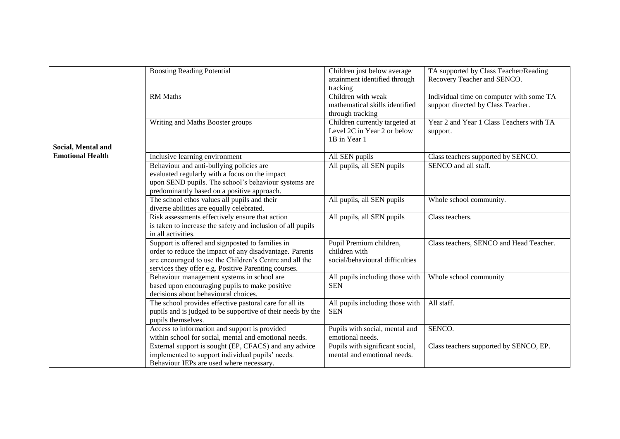|                         | <b>Boosting Reading Potential</b><br>RM Maths                                                                                                                                                                                  | Children just below average<br>attainment identified through<br>tracking<br>Children with weak<br>mathematical skills identified<br>through tracking | TA supported by Class Teacher/Reading<br>Recovery Teacher and SENCO.<br>Individual time on computer with some TA<br>support directed by Class Teacher. |
|-------------------------|--------------------------------------------------------------------------------------------------------------------------------------------------------------------------------------------------------------------------------|------------------------------------------------------------------------------------------------------------------------------------------------------|--------------------------------------------------------------------------------------------------------------------------------------------------------|
| Social, Mental and      | Writing and Maths Booster groups                                                                                                                                                                                               | Children currently targeted at<br>Level 2C in Year 2 or below<br>1B in Year 1                                                                        | Year 2 and Year 1 Class Teachers with TA<br>support.                                                                                                   |
| <b>Emotional Health</b> | Inclusive learning environment                                                                                                                                                                                                 | All SEN pupils                                                                                                                                       | Class teachers supported by SENCO.                                                                                                                     |
|                         | Behaviour and anti-bullying policies are<br>evaluated regularly with a focus on the impact<br>upon SEND pupils. The school's behaviour systems are<br>predominantly based on a positive approach.                              | All pupils, all SEN pupils                                                                                                                           | SENCO and all staff.                                                                                                                                   |
|                         | The school ethos values all pupils and their<br>diverse abilities are equally celebrated.                                                                                                                                      | All pupils, all SEN pupils                                                                                                                           | Whole school community.                                                                                                                                |
|                         | Risk assessments effectively ensure that action<br>All pupils, all SEN pupils<br>is taken to increase the safety and inclusion of all pupils<br>in all activities.                                                             |                                                                                                                                                      | Class teachers.                                                                                                                                        |
|                         | Support is offered and signposted to families in<br>order to reduce the impact of any disadvantage. Parents<br>are encouraged to use the Children's Centre and all the<br>services they offer e.g. Positive Parenting courses. | Pupil Premium children,<br>children with<br>social/behavioural difficulties                                                                          | Class teachers, SENCO and Head Teacher.                                                                                                                |
|                         | Behaviour management systems in school are<br>based upon encouraging pupils to make positive<br>decisions about behavioural choices.                                                                                           | All pupils including those with<br><b>SEN</b>                                                                                                        | Whole school community                                                                                                                                 |
|                         | The school provides effective pastoral care for all its<br>pupils and is judged to be supportive of their needs by the<br>pupils themselves.                                                                                   | All pupils including those with<br><b>SEN</b>                                                                                                        | All staff.                                                                                                                                             |
|                         | Access to information and support is provided<br>within school for social, mental and emotional needs.                                                                                                                         | Pupils with social, mental and<br>emotional needs.                                                                                                   | SENCO.                                                                                                                                                 |
|                         | External support is sought (EP, CFACS) and any advice<br>implemented to support individual pupils' needs.<br>Behaviour IEPs are used where necessary.                                                                          | Pupils with significant social,<br>mental and emotional needs.                                                                                       | Class teachers supported by SENCO, EP.                                                                                                                 |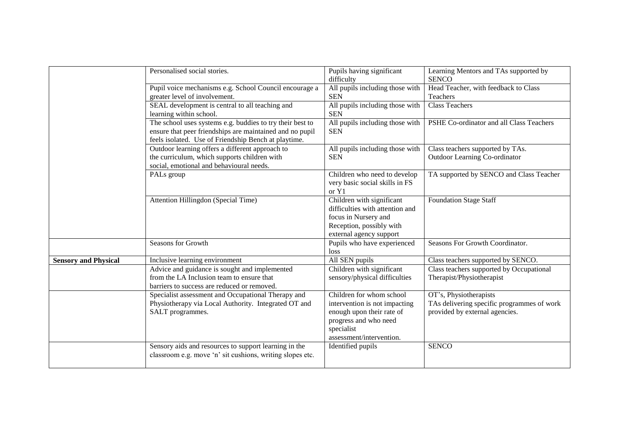|                             | Personalised social stories.                                               | Pupils having significant                     | Learning Mentors and TAs supported by<br><b>SENCO</b> |
|-----------------------------|----------------------------------------------------------------------------|-----------------------------------------------|-------------------------------------------------------|
|                             |                                                                            | difficulty                                    |                                                       |
|                             | Pupil voice mechanisms e.g. School Council encourage a                     | All pupils including those with               | Head Teacher, with feedback to Class                  |
|                             | greater level of involvement.                                              | <b>SEN</b>                                    | Teachers                                              |
|                             | SEAL development is central to all teaching and<br>learning within school. | All pupils including those with<br><b>SEN</b> | <b>Class Teachers</b>                                 |
|                             |                                                                            |                                               |                                                       |
|                             | The school uses systems e.g. buddies to try their best to                  | All pupils including those with               | PSHE Co-ordinator and all Class Teachers              |
|                             | ensure that peer friendships are maintained and no pupil                   | <b>SEN</b>                                    |                                                       |
|                             | feels isolated. Use of Friendship Bench at playtime.                       |                                               |                                                       |
|                             | Outdoor learning offers a different approach to                            | All pupils including those with               | Class teachers supported by TAs.                      |
|                             | the curriculum, which supports children with                               | <b>SEN</b>                                    | <b>Outdoor Learning Co-ordinator</b>                  |
|                             | social, emotional and behavioural needs.                                   |                                               |                                                       |
|                             | PALs group                                                                 | Children who need to develop                  | TA supported by SENCO and Class Teacher               |
|                             |                                                                            | very basic social skills in FS<br>or Y1       |                                                       |
|                             |                                                                            |                                               |                                                       |
|                             | Attention Hillingdon (Special Time)                                        | Children with significant                     | <b>Foundation Stage Staff</b>                         |
|                             |                                                                            | difficulties with attention and               |                                                       |
|                             |                                                                            | focus in Nursery and                          |                                                       |
|                             |                                                                            | Reception, possibly with                      |                                                       |
|                             |                                                                            | external agency support                       |                                                       |
|                             | Seasons for Growth                                                         | Pupils who have experienced                   | Seasons For Growth Coordinator.                       |
|                             |                                                                            | loss                                          |                                                       |
| <b>Sensory and Physical</b> | Inclusive learning environment                                             | All SEN pupils                                | Class teachers supported by SENCO.                    |
|                             | Advice and guidance is sought and implemented                              | Children with significant                     | Class teachers supported by Occupational              |
|                             | from the LA Inclusion team to ensure that                                  | sensory/physical difficulties                 | Therapist/Physiotherapist                             |
|                             | barriers to success are reduced or removed.                                |                                               |                                                       |
|                             | Specialist assessment and Occupational Therapy and                         | Children for whom school                      | OT's, Physiotherapists                                |
|                             | Physiotherapy via Local Authority. Integrated OT and                       | intervention is not impacting                 | TAs delivering specific programmes of work            |
|                             | SALT programmes.                                                           | enough upon their rate of                     | provided by external agencies.                        |
|                             |                                                                            | progress and who need                         |                                                       |
|                             |                                                                            | specialist                                    |                                                       |
|                             |                                                                            | assessment/intervention.                      |                                                       |
|                             | Sensory aids and resources to support learning in the                      | Identified pupils                             | <b>SENCO</b>                                          |
|                             | classroom e.g. move 'n' sit cushions, writing slopes etc.                  |                                               |                                                       |
|                             |                                                                            |                                               |                                                       |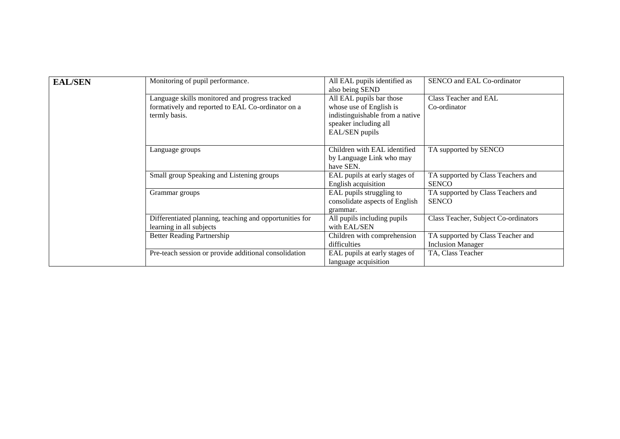| <b>EAL/SEN</b> | Monitoring of pupil performance.                        | All EAL pupils identified as    | SENCO and EAL Co-ordinator           |
|----------------|---------------------------------------------------------|---------------------------------|--------------------------------------|
|                |                                                         | also being SEND                 |                                      |
|                | Language skills monitored and progress tracked          | All EAL pupils bar those        | Class Teacher and EAL                |
|                | formatively and reported to EAL Co-ordinator on a       | whose use of English is         | Co-ordinator                         |
|                | termly basis.                                           | indistinguishable from a native |                                      |
|                |                                                         | speaker including all           |                                      |
|                |                                                         | EAL/SEN pupils                  |                                      |
|                |                                                         |                                 |                                      |
|                | Language groups                                         | Children with EAL identified    | TA supported by SENCO                |
|                |                                                         | by Language Link who may        |                                      |
|                |                                                         | have SEN.                       |                                      |
|                | Small group Speaking and Listening groups               | EAL pupils at early stages of   | TA supported by Class Teachers and   |
|                |                                                         | English acquisition             | <b>SENCO</b>                         |
|                | Grammar groups                                          | EAL pupils struggling to        | TA supported by Class Teachers and   |
|                |                                                         | consolidate aspects of English  | <b>SENCO</b>                         |
|                |                                                         | grammar.                        |                                      |
|                | Differentiated planning, teaching and opportunities for | All pupils including pupils     | Class Teacher, Subject Co-ordinators |
|                | learning in all subjects                                | with EAL/SEN                    |                                      |
|                | <b>Better Reading Partnership</b>                       | Children with comprehension     | TA supported by Class Teacher and    |
|                |                                                         | difficulties                    | <b>Inclusion Manager</b>             |
|                | Pre-teach session or provide additional consolidation   | EAL pupils at early stages of   | TA, Class Teacher                    |
|                |                                                         | language acquisition            |                                      |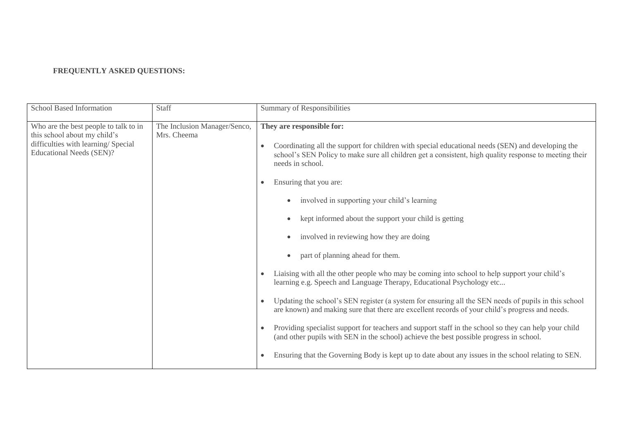## **FREQUENTLY ASKED QUESTIONS:**

| <b>School Based Information</b>                                                                                                                 | Staff                                       | Summary of Responsibilities                                                                                                                                                                                                                                                                                                                                                                                                                                                                                                                                                                                                                                                                                                                                                                                                                                                                                                                                                                                                                                                                                                                                                                                                                      |
|-------------------------------------------------------------------------------------------------------------------------------------------------|---------------------------------------------|--------------------------------------------------------------------------------------------------------------------------------------------------------------------------------------------------------------------------------------------------------------------------------------------------------------------------------------------------------------------------------------------------------------------------------------------------------------------------------------------------------------------------------------------------------------------------------------------------------------------------------------------------------------------------------------------------------------------------------------------------------------------------------------------------------------------------------------------------------------------------------------------------------------------------------------------------------------------------------------------------------------------------------------------------------------------------------------------------------------------------------------------------------------------------------------------------------------------------------------------------|
| Who are the best people to talk to in<br>this school about my child's<br>difficulties with learning/ Special<br><b>Educational Needs (SEN)?</b> | The Inclusion Manager/Senco,<br>Mrs. Cheema | They are responsible for:<br>Coordinating all the support for children with special educational needs (SEN) and developing the<br>school's SEN Policy to make sure all children get a consistent, high quality response to meeting their<br>needs in school.<br>Ensuring that you are:<br>$\bullet$<br>involved in supporting your child's learning<br>kept informed about the support your child is getting<br>involved in reviewing how they are doing<br>part of planning ahead for them.<br>Liaising with all the other people who may be coming into school to help support your child's<br>$\bullet$<br>learning e.g. Speech and Language Therapy, Educational Psychology etc<br>Updating the school's SEN register (a system for ensuring all the SEN needs of pupils in this school<br>$\bullet$<br>are known) and making sure that there are excellent records of your child's progress and needs.<br>Providing specialist support for teachers and support staff in the school so they can help your child<br>$\bullet$<br>(and other pupils with SEN in the school) achieve the best possible progress in school.<br>Ensuring that the Governing Body is kept up to date about any issues in the school relating to SEN.<br>$\bullet$ |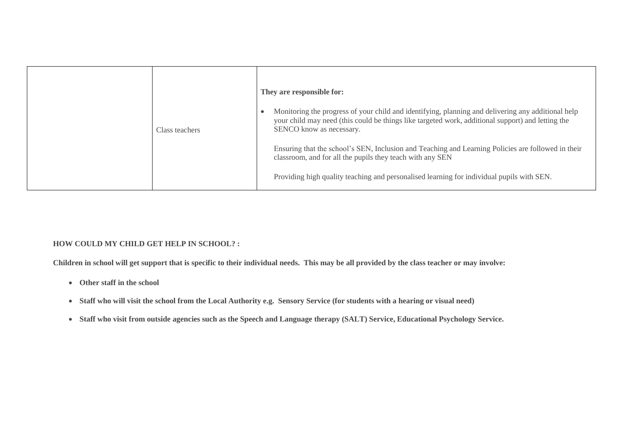| Class teachers | They are responsible for:<br>Monitoring the progress of your child and identifying, planning and delivering any additional help<br>your child may need (this could be things like targeted work, additional support) and letting the<br>SENCO know as necessary. |
|----------------|------------------------------------------------------------------------------------------------------------------------------------------------------------------------------------------------------------------------------------------------------------------|
|                | Ensuring that the school's SEN, Inclusion and Teaching and Learning Policies are followed in their<br>classroom, and for all the pupils they teach with any SEN<br>Providing high quality teaching and personalised learning for individual pupils with SEN.     |

## **HOW COULD MY CHILD GET HELP IN SCHOOL? :**

**Children in school will get support that is specific to their individual needs. This may be all provided by the class teacher or may involve:** 

- **Other staff in the school**
- **Staff who will visit the school from the Local Authority e.g. Sensory Service (for students with a hearing or visual need)**
- **Staff who visit from outside agencies such as the Speech and Language therapy (SALT) Service, Educational Psychology Service.**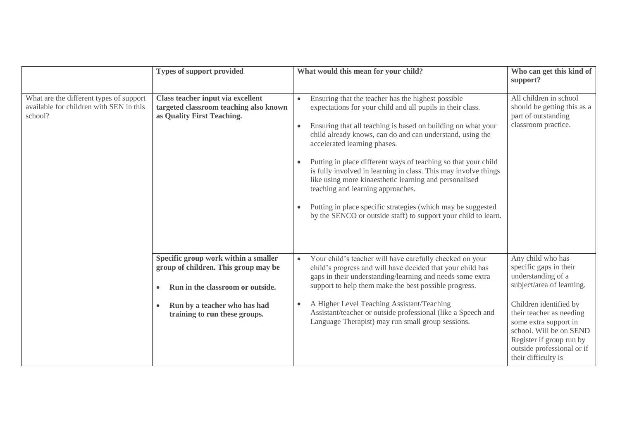|                                                                                               | <b>Types of support provided</b>                                                                                                                                                                            | What would this mean for your child?                                                                                                                                                                                                                                                                                                                                                                                         | Who can get this kind of<br>support?                                                                                                                                                                                                                                                                                                                                                                                                                                                                                                                                                                                                                             |                                                                                                     |
|-----------------------------------------------------------------------------------------------|-------------------------------------------------------------------------------------------------------------------------------------------------------------------------------------------------------------|------------------------------------------------------------------------------------------------------------------------------------------------------------------------------------------------------------------------------------------------------------------------------------------------------------------------------------------------------------------------------------------------------------------------------|------------------------------------------------------------------------------------------------------------------------------------------------------------------------------------------------------------------------------------------------------------------------------------------------------------------------------------------------------------------------------------------------------------------------------------------------------------------------------------------------------------------------------------------------------------------------------------------------------------------------------------------------------------------|-----------------------------------------------------------------------------------------------------|
| What are the different types of support<br>available for children with SEN in this<br>school? |                                                                                                                                                                                                             | Class teacher input via excellent<br>targeted classroom teaching also known<br>as Quality First Teaching.                                                                                                                                                                                                                                                                                                                    | Ensuring that the teacher has the highest possible<br>$\bullet$<br>expectations for your child and all pupils in their class.<br>Ensuring that all teaching is based on building on what your<br>child already knows, can do and can understand, using the<br>accelerated learning phases.<br>Putting in place different ways of teaching so that your child<br>is fully involved in learning in class. This may involve things<br>like using more kinaesthetic learning and personalised<br>teaching and learning approaches.<br>Putting in place specific strategies (which may be suggested<br>by the SENCO or outside staff) to support your child to learn. | All children in school<br>should be getting this as a<br>part of outstanding<br>classroom practice. |
|                                                                                               | Specific group work within a smaller<br>group of children. This group may be<br>Run in the classroom or outside.<br>$\bullet$<br>Run by a teacher who has had<br>$\bullet$<br>training to run these groups. | Your child's teacher will have carefully checked on your<br>$\bullet$<br>child's progress and will have decided that your child has<br>gaps in their understanding/learning and needs some extra<br>support to help them make the best possible progress.<br>A Higher Level Teaching Assistant/Teaching<br>Assistant/teacher or outside professional (like a Speech and<br>Language Therapist) may run small group sessions. | Any child who has<br>specific gaps in their<br>understanding of a<br>subject/area of learning.<br>Children identified by<br>their teacher as needing<br>some extra support in<br>school. Will be on SEND<br>Register if group run by<br>outside professional or if<br>their difficulty is                                                                                                                                                                                                                                                                                                                                                                        |                                                                                                     |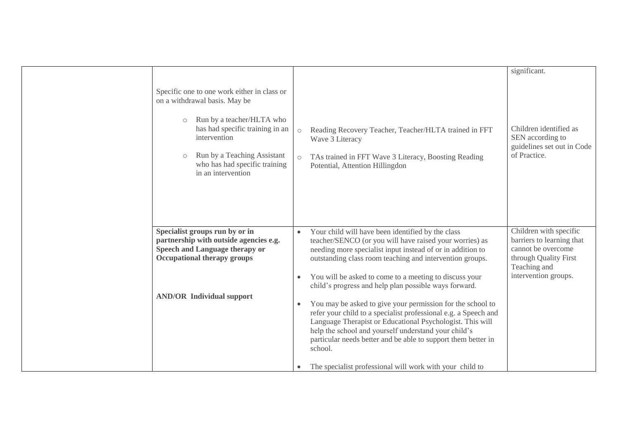|                                                                                                                                                                                                                                                                          |                                                                                                                                                                                                                                                                                                                                                                                                                                                                                                                                                                                                                                                                                                                                                                                   | significant.                                                                                                                               |
|--------------------------------------------------------------------------------------------------------------------------------------------------------------------------------------------------------------------------------------------------------------------------|-----------------------------------------------------------------------------------------------------------------------------------------------------------------------------------------------------------------------------------------------------------------------------------------------------------------------------------------------------------------------------------------------------------------------------------------------------------------------------------------------------------------------------------------------------------------------------------------------------------------------------------------------------------------------------------------------------------------------------------------------------------------------------------|--------------------------------------------------------------------------------------------------------------------------------------------|
| Specific one to one work either in class or<br>on a withdrawal basis. May be<br>Run by a teacher/HLTA who<br>$\circ$<br>has had specific training in an<br>intervention<br>Run by a Teaching Assistant<br>$\circ$<br>who has had specific training<br>in an intervention | Reading Recovery Teacher, Teacher/HLTA trained in FFT<br>$\circ$<br>Wave 3 Literacy<br>TAs trained in FFT Wave 3 Literacy, Boosting Reading<br>$\circlearrowright$<br>Potential, Attention Hillingdon                                                                                                                                                                                                                                                                                                                                                                                                                                                                                                                                                                             | Children identified as<br>SEN according to<br>guidelines set out in Code<br>of Practice.                                                   |
| Specialist groups run by or in<br>partnership with outside agencies e.g.<br><b>Speech and Language therapy or</b><br><b>Occupational therapy groups</b><br><b>AND/OR Individual support</b>                                                                              | Your child will have been identified by the class<br>$\bullet$<br>teacher/SENCO (or you will have raised your worries) as<br>needing more specialist input instead of or in addition to<br>outstanding class room teaching and intervention groups.<br>You will be asked to come to a meeting to discuss your<br>child's progress and help plan possible ways forward.<br>You may be asked to give your permission for the school to<br>$\bullet$<br>refer your child to a specialist professional e.g. a Speech and<br>Language Therapist or Educational Psychologist. This will<br>help the school and yourself understand your child's<br>particular needs better and be able to support them better in<br>school.<br>The specialist professional will work with your child to | Children with specific<br>barriers to learning that<br>cannot be overcome<br>through Quality First<br>Teaching and<br>intervention groups. |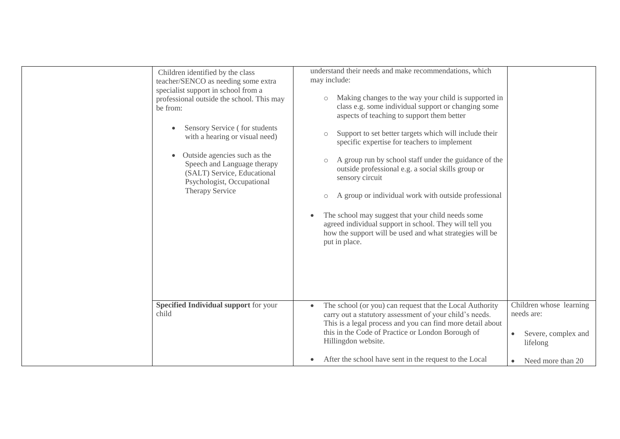| Children identified by the class<br>teacher/SENCO as needing some extra<br>specialist support in school from a<br>professional outside the school. This may<br>be from:<br>Sensory Service (for students<br>with a hearing or visual need)<br>Outside agencies such as the<br>Speech and Language therapy<br>(SALT) Service, Educational<br>Psychologist, Occupational<br>Therapy Service | understand their needs and make recommendations, which<br>may include:<br>Making changes to the way your child is supported in<br>$\circ$<br>class e.g. some individual support or changing some<br>aspects of teaching to support them better<br>Support to set better targets which will include their<br>$\circlearrowright$<br>specific expertise for teachers to implement<br>A group run by school staff under the guidance of the<br>$\circ$<br>outside professional e.g. a social skills group or<br>sensory circuit<br>A group or individual work with outside professional<br>$\circ$<br>The school may suggest that your child needs some<br>agreed individual support in school. They will tell you<br>how the support will be used and what strategies will be<br>put in place. |                                                                                                            |
|-------------------------------------------------------------------------------------------------------------------------------------------------------------------------------------------------------------------------------------------------------------------------------------------------------------------------------------------------------------------------------------------|----------------------------------------------------------------------------------------------------------------------------------------------------------------------------------------------------------------------------------------------------------------------------------------------------------------------------------------------------------------------------------------------------------------------------------------------------------------------------------------------------------------------------------------------------------------------------------------------------------------------------------------------------------------------------------------------------------------------------------------------------------------------------------------------|------------------------------------------------------------------------------------------------------------|
| <b>Specified Individual support for your</b><br>child                                                                                                                                                                                                                                                                                                                                     | The school (or you) can request that the Local Authority<br>carry out a statutory assessment of your child's needs.<br>This is a legal process and you can find more detail about<br>this in the Code of Practice or London Borough of<br>Hillingdon website.<br>After the school have sent in the request to the Local                                                                                                                                                                                                                                                                                                                                                                                                                                                                      | Children whose learning<br>needs are:<br>Severe, complex and<br>$\bullet$<br>lifelong<br>Need more than 20 |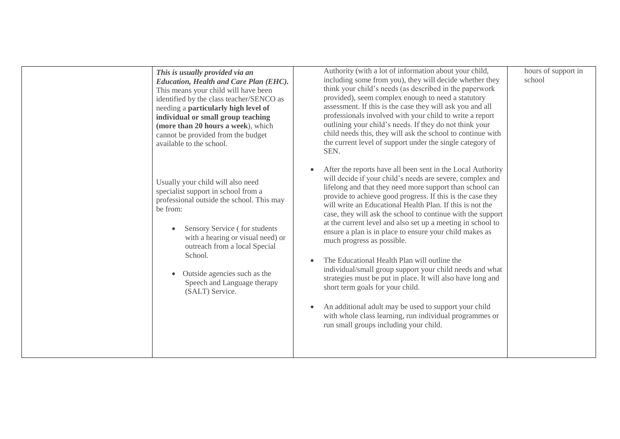| This is usually provided via an<br><b>Education, Health and Care Plan (EHC).</b><br>This means your child will have been<br>identified by the class teacher/SENCO as<br>needing a particularly high level of<br>individual or small group teaching<br>(more than 20 hours a week), which<br>cannot be provided from the budget<br>available to the school. | Authority (with a lot of information about your child,<br>including some from you), they will decide whether they<br>think your child's needs (as described in the paperwork<br>provided), seem complex enough to need a statutory<br>assessment. If this is the case they will ask you and all<br>professionals involved with your child to write a report<br>outlining your child's needs. If they do not think your<br>child needs this, they will ask the school to continue with<br>the current level of support under the single category of<br>SEN.                                                                                                                                                                                                                                                                                                                                                                                                 | hours of support in<br>school |
|------------------------------------------------------------------------------------------------------------------------------------------------------------------------------------------------------------------------------------------------------------------------------------------------------------------------------------------------------------|------------------------------------------------------------------------------------------------------------------------------------------------------------------------------------------------------------------------------------------------------------------------------------------------------------------------------------------------------------------------------------------------------------------------------------------------------------------------------------------------------------------------------------------------------------------------------------------------------------------------------------------------------------------------------------------------------------------------------------------------------------------------------------------------------------------------------------------------------------------------------------------------------------------------------------------------------------|-------------------------------|
| Usually your child will also need<br>specialist support in school from a<br>professional outside the school. This may<br>be from:<br>Sensory Service (for students<br>with a hearing or visual need) or<br>outreach from a local Special<br>School.<br>Outside agencies such as the<br>Speech and Language therapy<br>(SALT) Service.                      | After the reports have all been sent in the Local Authority<br>$\bullet$<br>will decide if your child's needs are severe, complex and<br>lifelong and that they need more support than school can<br>provide to achieve good progress. If this is the case they<br>will write an Educational Health Plan. If this is not the<br>case, they will ask the school to continue with the support<br>at the current level and also set up a meeting in school to<br>ensure a plan is in place to ensure your child makes as<br>much progress as possible.<br>The Educational Health Plan will outline the<br>$\bullet$<br>individual/small group support your child needs and what<br>strategies must be put in place. It will also have long and<br>short term goals for your child.<br>An additional adult may be used to support your child<br>$\bullet$<br>with whole class learning, run individual programmes or<br>run small groups including your child. |                               |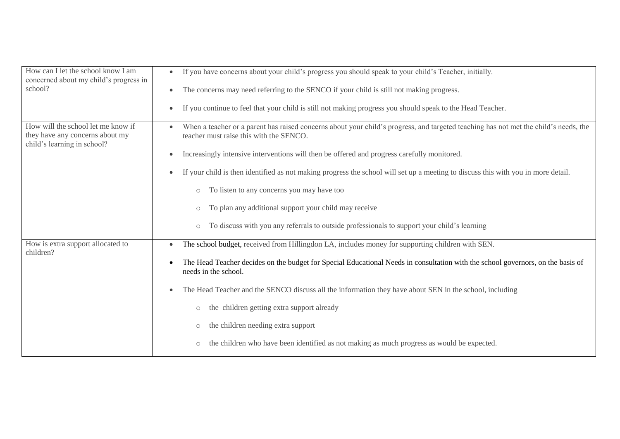| How can I let the school know I am<br>concerned about my child's progress in                         | If you have concerns about your child's progress you should speak to your child's Teacher, initially.<br>$\bullet$                                                                           |
|------------------------------------------------------------------------------------------------------|----------------------------------------------------------------------------------------------------------------------------------------------------------------------------------------------|
| school?                                                                                              | The concerns may need referring to the SENCO if your child is still not making progress.<br>$\bullet$                                                                                        |
|                                                                                                      | If you continue to feel that your child is still not making progress you should speak to the Head Teacher.<br>$\bullet$                                                                      |
| How will the school let me know if<br>they have any concerns about my<br>child's learning in school? | When a teacher or a parent has raised concerns about your child's progress, and targeted teaching has not met the child's needs, the<br>$\bullet$<br>teacher must raise this with the SENCO. |
|                                                                                                      | Increasingly intensive interventions will then be offered and progress carefully monitored.<br>$\bullet$                                                                                     |
|                                                                                                      | If your child is then identified as not making progress the school will set up a meeting to discuss this with you in more detail.<br>$\bullet$                                               |
|                                                                                                      | To listen to any concerns you may have too<br>$\bigcirc$                                                                                                                                     |
|                                                                                                      | To plan any additional support your child may receive<br>$\circ$                                                                                                                             |
|                                                                                                      | To discuss with you any referrals to outside professionals to support your child's learning<br>$\bigcirc$                                                                                    |
| How is extra support allocated to<br>children?                                                       | The school budget, received from Hillingdon LA, includes money for supporting children with SEN.<br>$\bullet$                                                                                |
|                                                                                                      | The Head Teacher decides on the budget for Special Educational Needs in consultation with the school governors, on the basis of<br>٠<br>needs in the school.                                 |
|                                                                                                      | The Head Teacher and the SENCO discuss all the information they have about SEN in the school, including<br>$\bullet$                                                                         |
|                                                                                                      | the children getting extra support already<br>$\bigcirc$                                                                                                                                     |
|                                                                                                      | the children needing extra support<br>$\circ$                                                                                                                                                |
|                                                                                                      | the children who have been identified as not making as much progress as would be expected.<br>$\bigcirc$                                                                                     |
|                                                                                                      |                                                                                                                                                                                              |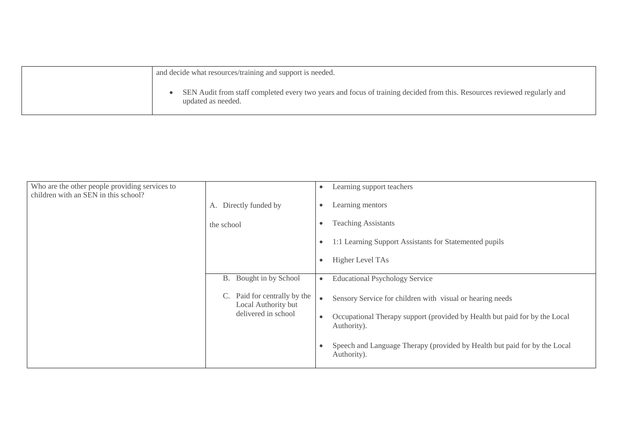| and decide what resources/training and support is needed.                                                                                      |
|------------------------------------------------------------------------------------------------------------------------------------------------|
| SEN Audit from staff completed every two years and focus of training decided from this. Resources reviewed regularly and<br>updated as needed. |

| Who are the other people providing services to<br>children with an SEN in this school? |                                                                               | Learning support teachers<br>$\bullet$                                                    |
|----------------------------------------------------------------------------------------|-------------------------------------------------------------------------------|-------------------------------------------------------------------------------------------|
|                                                                                        | A. Directly funded by                                                         | Learning mentors<br>$\bullet$                                                             |
|                                                                                        | the school                                                                    | <b>Teaching Assistants</b>                                                                |
|                                                                                        |                                                                               | 1:1 Learning Support Assistants for Statemented pupils                                    |
|                                                                                        |                                                                               | Higher Level TAs<br>$\bullet$                                                             |
|                                                                                        | Bought in by School<br>B.                                                     | <b>Educational Psychology Service</b><br>$\bullet$                                        |
|                                                                                        | Paid for centrally by the<br>C.<br>Local Authority but<br>delivered in school | Sensory Service for children with visual or hearing needs                                 |
|                                                                                        |                                                                               | Occupational Therapy support (provided by Health but paid for by the Local<br>Authority). |
|                                                                                        |                                                                               | Speech and Language Therapy (provided by Health but paid for by the Local<br>Authority).  |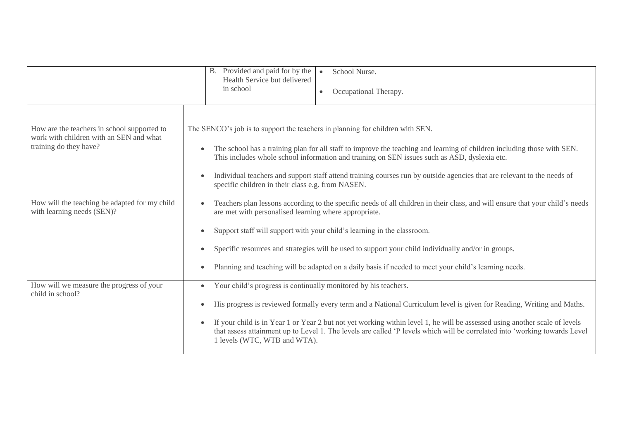|                                                                                                                  | B. Provided and paid for by the<br>School Nurse.<br>Health Service but delivered<br>in school<br>Occupational Therapy.<br>$\bullet$                                                                                                                                                                                                                                                                                                                                                                                |
|------------------------------------------------------------------------------------------------------------------|--------------------------------------------------------------------------------------------------------------------------------------------------------------------------------------------------------------------------------------------------------------------------------------------------------------------------------------------------------------------------------------------------------------------------------------------------------------------------------------------------------------------|
| How are the teachers in school supported to<br>work with children with an SEN and what<br>training do they have? | The SENCO's job is to support the teachers in planning for children with SEN.<br>The school has a training plan for all staff to improve the teaching and learning of children including those with SEN.<br>$\bullet$<br>This includes whole school information and training on SEN issues such as ASD, dyslexia etc.<br>Individual teachers and support staff attend training courses run by outside agencies that are relevant to the needs of<br>$\bullet$<br>specific children in their class e.g. from NASEN. |
| How will the teaching be adapted for my child<br>with learning needs (SEN)?                                      | Teachers plan lessons according to the specific needs of all children in their class, and will ensure that your child's needs<br>are met with personalised learning where appropriate.<br>Support staff will support with your child's learning in the classroom.<br>Specific resources and strategies will be used to support your child individually and/or in groups.<br>$\bullet$<br>Planning and teaching will be adapted on a daily basis if needed to meet your child's learning needs.                     |
| How will we measure the progress of your<br>child in school?                                                     | Your child's progress is continually monitored by his teachers.<br>$\bullet$<br>His progress is reviewed formally every term and a National Curriculum level is given for Reading, Writing and Maths.<br>$\bullet$<br>If your child is in Year 1 or Year 2 but not yet working within level 1, he will be assessed using another scale of levels<br>that assess attainment up to Level 1. The levels are called 'P levels which will be correlated into 'working towards Level<br>1 levels (WTC, WTB and WTA).     |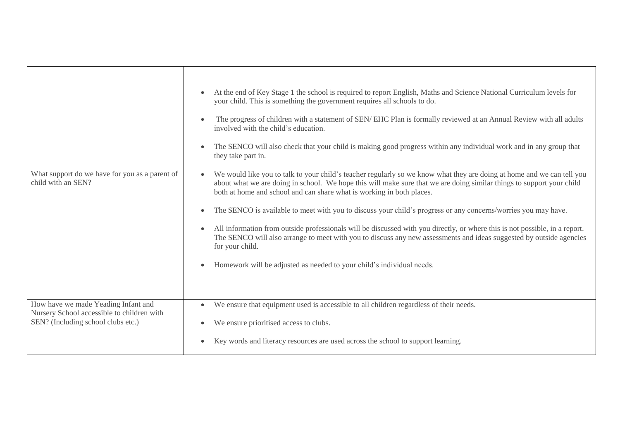|                                                                                                                         | At the end of Key Stage 1 the school is required to report English, Maths and Science National Curriculum levels for<br>your child. This is something the government requires all schools to do.<br>The progress of children with a statement of SEN/EHC Plan is formally reviewed at an Annual Review with all adults<br>involved with the child's education.<br>The SENCO will also check that your child is making good progress within any individual work and in any group that<br>$\bullet$<br>they take part in.                                                                                                                                                                                                                                                                                                             |
|-------------------------------------------------------------------------------------------------------------------------|-------------------------------------------------------------------------------------------------------------------------------------------------------------------------------------------------------------------------------------------------------------------------------------------------------------------------------------------------------------------------------------------------------------------------------------------------------------------------------------------------------------------------------------------------------------------------------------------------------------------------------------------------------------------------------------------------------------------------------------------------------------------------------------------------------------------------------------|
| What support do we have for you as a parent of<br>child with an SEN?                                                    | We would like you to talk to your child's teacher regularly so we know what they are doing at home and we can tell you<br>$\bullet$<br>about what we are doing in school. We hope this will make sure that we are doing similar things to support your child<br>both at home and school and can share what is working in both places.<br>The SENCO is available to meet with you to discuss your child's progress or any concerns/worries you may have.<br>$\bullet$<br>All information from outside professionals will be discussed with you directly, or where this is not possible, in a report.<br>$\bullet$<br>The SENCO will also arrange to meet with you to discuss any new assessments and ideas suggested by outside agencies<br>for your child.<br>Homework will be adjusted as needed to your child's individual needs. |
| How have we made Yeading Infant and<br>Nursery School accessible to children with<br>SEN? (Including school clubs etc.) | We ensure that equipment used is accessible to all children regardless of their needs.<br>$\bullet$<br>We ensure prioritised access to clubs.<br>Key words and literacy resources are used across the school to support learning.                                                                                                                                                                                                                                                                                                                                                                                                                                                                                                                                                                                                   |